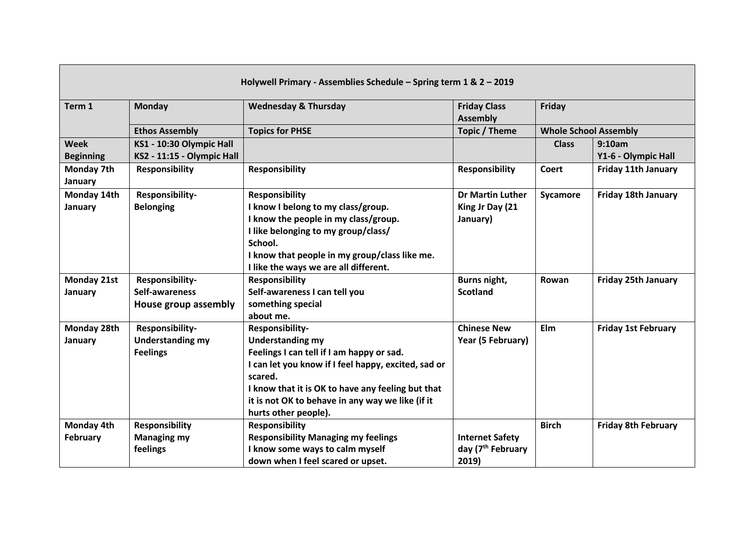| Holywell Primary - Assemblies Schedule - Spring term 1 & 2 - 2019 |                                                               |                                                                                                                                                                                                                                                                                            |                                                                  |                                        |                               |  |  |
|-------------------------------------------------------------------|---------------------------------------------------------------|--------------------------------------------------------------------------------------------------------------------------------------------------------------------------------------------------------------------------------------------------------------------------------------------|------------------------------------------------------------------|----------------------------------------|-------------------------------|--|--|
| Term 1                                                            | <b>Monday</b>                                                 | <b>Wednesday &amp; Thursday</b>                                                                                                                                                                                                                                                            | <b>Friday Class</b><br><b>Assembly</b>                           | Friday<br><b>Whole School Assembly</b> |                               |  |  |
|                                                                   | <b>Ethos Assembly</b>                                         | <b>Topics for PHSE</b>                                                                                                                                                                                                                                                                     | Topic / Theme                                                    |                                        |                               |  |  |
| <b>Week</b><br><b>Beginning</b>                                   | KS1 - 10:30 Olympic Hall<br>KS2 - 11:15 - Olympic Hall        |                                                                                                                                                                                                                                                                                            |                                                                  | <b>Class</b>                           | 9:10am<br>Y1-6 - Olympic Hall |  |  |
| Monday 7th<br>January                                             | <b>Responsibility</b>                                         | <b>Responsibility</b>                                                                                                                                                                                                                                                                      | <b>Responsibility</b>                                            | <b>Coert</b>                           | <b>Friday 11th January</b>    |  |  |
| Monday 14th<br>January                                            | Responsibility-<br><b>Belonging</b>                           | <b>Responsibility</b><br>I know I belong to my class/group.<br>I know the people in my class/group.<br>I like belonging to my group/class/<br>School.<br>I know that people in my group/class like me.<br>I like the ways we are all different.                                            | <b>Dr Martin Luther</b><br>King Jr Day (21<br>January)           | Sycamore                               | Friday 18th January           |  |  |
| Monday 21st<br>January                                            | Responsibility-<br>Self-awareness<br>House group assembly     | <b>Responsibility</b><br>Self-awareness I can tell you<br>something special<br>about me.                                                                                                                                                                                                   | Burns night,<br><b>Scotland</b>                                  | Rowan                                  | <b>Friday 25th January</b>    |  |  |
| Monday 28th<br>January                                            | Responsibility-<br><b>Understanding my</b><br><b>Feelings</b> | Responsibility-<br><b>Understanding my</b><br>Feelings I can tell if I am happy or sad.<br>I can let you know if I feel happy, excited, sad or<br>scared.<br>I know that it is OK to have any feeling but that<br>it is not OK to behave in any way we like (if it<br>hurts other people). | <b>Chinese New</b><br>Year (5 February)                          | Elm                                    | <b>Friday 1st February</b>    |  |  |
| Monday 4th<br><b>February</b>                                     | <b>Responsibility</b><br><b>Managing my</b><br>feelings       | <b>Responsibility</b><br><b>Responsibility Managing my feelings</b><br>I know some ways to calm myself<br>down when I feel scared or upset.                                                                                                                                                | <b>Internet Safety</b><br>day (7 <sup>th</sup> February<br>2019) | <b>Birch</b>                           | <b>Friday 8th February</b>    |  |  |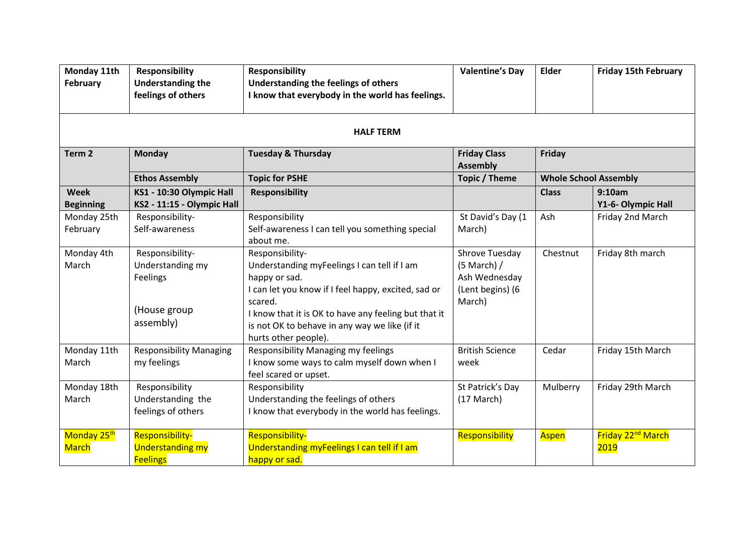| Monday 11th<br><b>February</b>  | <b>Responsibility</b><br><b>Understanding the</b><br>feelings of others      | <b>Responsibility</b><br>Understanding the feelings of others<br>I know that everybody in the world has feelings.                                                                                                                                                                  | <b>Valentine's Day</b>                                                           | Elder                        | <b>Friday 15th February</b>                  |  |  |  |  |
|---------------------------------|------------------------------------------------------------------------------|------------------------------------------------------------------------------------------------------------------------------------------------------------------------------------------------------------------------------------------------------------------------------------|----------------------------------------------------------------------------------|------------------------------|----------------------------------------------|--|--|--|--|
| <b>HALF TERM</b>                |                                                                              |                                                                                                                                                                                                                                                                                    |                                                                                  |                              |                                              |  |  |  |  |
| Term <sub>2</sub>               | <b>Monday</b>                                                                | <b>Tuesday &amp; Thursday</b>                                                                                                                                                                                                                                                      | <b>Friday Class</b><br><b>Assembly</b>                                           | Friday                       |                                              |  |  |  |  |
|                                 | <b>Ethos Assembly</b>                                                        | <b>Topic for PSHE</b>                                                                                                                                                                                                                                                              | Topic / Theme                                                                    | <b>Whole School Assembly</b> |                                              |  |  |  |  |
| <b>Week</b><br><b>Beginning</b> | KS1 - 10:30 Olympic Hall<br>KS2 - 11:15 - Olympic Hall                       | <b>Responsibility</b>                                                                                                                                                                                                                                                              |                                                                                  | <b>Class</b>                 | 9:10am<br>Y1-6- Olympic Hall                 |  |  |  |  |
| Monday 25th<br>February         | Responsibility-<br>Self-awareness                                            | Responsibility<br>Self-awareness I can tell you something special<br>about me.                                                                                                                                                                                                     | St David's Day (1<br>March)                                                      | Ash                          | Friday 2nd March                             |  |  |  |  |
| Monday 4th<br>March             | Responsibility-<br>Understanding my<br>Feelings<br>(House group<br>assembly) | Responsibility-<br>Understanding myFeelings I can tell if I am<br>happy or sad.<br>I can let you know if I feel happy, excited, sad or<br>scared.<br>I know that it is OK to have any feeling but that it<br>is not OK to behave in any way we like (if it<br>hurts other people). | Shrove Tuesday<br>$(5$ March $)/$<br>Ash Wednesday<br>(Lent begins) (6<br>March) | Chestnut                     | Friday 8th march                             |  |  |  |  |
| Monday 11th<br>March            | <b>Responsibility Managing</b><br>my feelings                                | Responsibility Managing my feelings<br>I know some ways to calm myself down when I<br>feel scared or upset.                                                                                                                                                                        | <b>British Science</b><br>week                                                   | Cedar                        | Friday 15th March                            |  |  |  |  |
| Monday 18th<br>March            | Responsibility<br>Understanding the<br>feelings of others                    | Responsibility<br>Understanding the feelings of others<br>I know that everybody in the world has feelings.                                                                                                                                                                         | St Patrick's Day<br>$(17 \text{ March})$                                         | Mulberry                     | Friday 29th March                            |  |  |  |  |
| Monday 25th<br><b>March</b>     | <b>Responsibility-</b><br><b>Understanding my</b><br><b>Feelings</b>         | <b>Responsibility-</b><br>Understanding myFeelings I can tell if I am<br>happy or sad.                                                                                                                                                                                             | Responsibility                                                                   | <b>Aspen</b>                 | Friday 22 <sup>nd</sup> March<br><b>2019</b> |  |  |  |  |